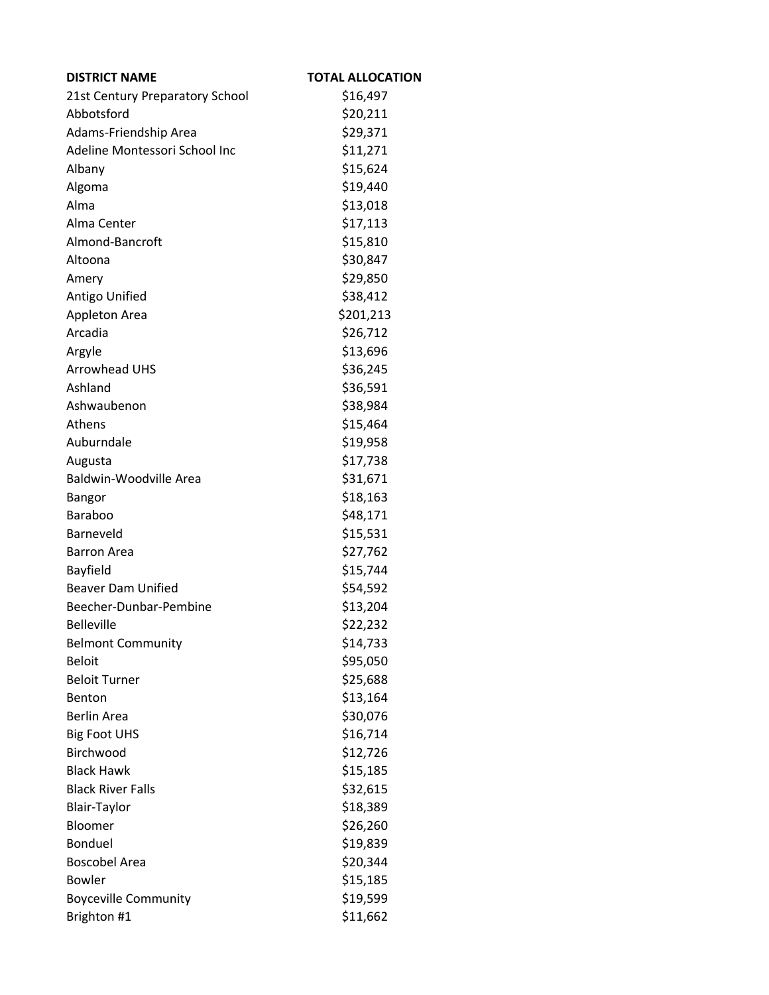| <b>DISTRICT NAME</b>            | <b>TOTAL ALLOCATION</b> |
|---------------------------------|-------------------------|
| 21st Century Preparatory School | \$16,497                |
| Abbotsford                      | \$20,211                |
| Adams-Friendship Area           | \$29,371                |
| Adeline Montessori School Inc   | \$11,271                |
| Albany                          | \$15,624                |
| Algoma                          | \$19,440                |
| Alma                            | \$13,018                |
| Alma Center                     | \$17,113                |
| Almond-Bancroft                 | \$15,810                |
| Altoona                         | \$30,847                |
| Amery                           | \$29,850                |
| Antigo Unified                  | \$38,412                |
| Appleton Area                   | \$201,213               |
| Arcadia                         | \$26,712                |
| Argyle                          | \$13,696                |
| <b>Arrowhead UHS</b>            | \$36,245                |
| Ashland                         | \$36,591                |
| Ashwaubenon                     | \$38,984                |
| Athens                          | \$15,464                |
| Auburndale                      | \$19,958                |
| Augusta                         | \$17,738                |
| Baldwin-Woodville Area          | \$31,671                |
| Bangor                          | \$18,163                |
| <b>Baraboo</b>                  | \$48,171                |
| Barneveld                       | \$15,531                |
| <b>Barron Area</b>              | \$27,762                |
| Bayfield                        | \$15,744                |
| <b>Beaver Dam Unified</b>       | \$54,592                |
| Beecher-Dunbar-Pembine          | \$13,204                |
| <b>Belleville</b>               | \$22,232                |
| <b>Belmont Community</b>        | \$14,733                |
| <b>Beloit</b>                   | \$95,050                |
| <b>Beloit Turner</b>            | \$25,688                |
| Benton                          | \$13,164                |
| <b>Berlin Area</b>              | \$30,076                |
| <b>Big Foot UHS</b>             | \$16,714                |
| Birchwood                       | \$12,726                |
| <b>Black Hawk</b>               | \$15,185                |
| <b>Black River Falls</b>        | \$32,615                |
| <b>Blair-Taylor</b>             | \$18,389                |
| Bloomer                         | \$26,260                |
| Bonduel                         | \$19,839                |
| <b>Boscobel Area</b>            | \$20,344                |
| <b>Bowler</b>                   | \$15,185                |
| <b>Boyceville Community</b>     | \$19,599                |
| Brighton #1                     | \$11,662                |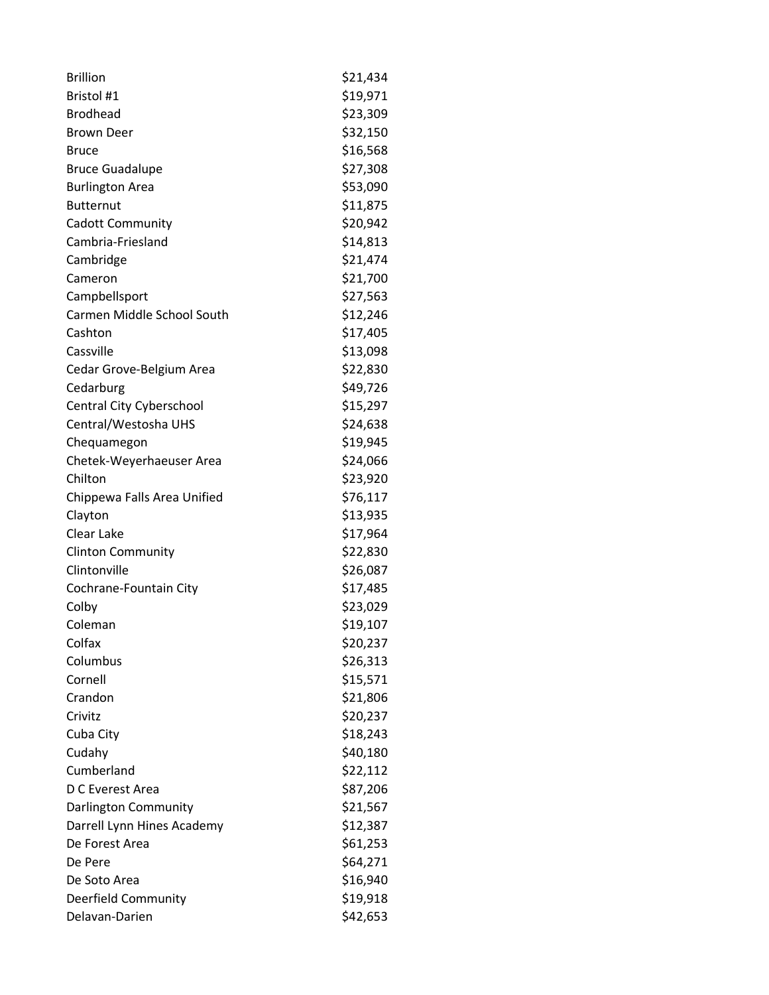| <b>Brillion</b>             | \$21,434 |
|-----------------------------|----------|
| Bristol #1                  | \$19,971 |
| <b>Brodhead</b>             | \$23,309 |
| <b>Brown Deer</b>           | \$32,150 |
| <b>Bruce</b>                | \$16,568 |
| <b>Bruce Guadalupe</b>      | \$27,308 |
| <b>Burlington Area</b>      | \$53,090 |
| <b>Butternut</b>            | \$11,875 |
| <b>Cadott Community</b>     | \$20,942 |
| Cambria-Friesland           | \$14,813 |
| Cambridge                   | \$21,474 |
| Cameron                     | \$21,700 |
| Campbellsport               | \$27,563 |
| Carmen Middle School South  | \$12,246 |
| Cashton                     | \$17,405 |
| Cassville                   | \$13,098 |
| Cedar Grove-Belgium Area    | \$22,830 |
| Cedarburg                   | \$49,726 |
| Central City Cyberschool    | \$15,297 |
| Central/Westosha UHS        | \$24,638 |
| Chequamegon                 | \$19,945 |
| Chetek-Weyerhaeuser Area    | \$24,066 |
| Chilton                     | \$23,920 |
| Chippewa Falls Area Unified | \$76,117 |
| Clayton                     | \$13,935 |
| Clear Lake                  | \$17,964 |
| <b>Clinton Community</b>    | \$22,830 |
| Clintonville                | \$26,087 |
| Cochrane-Fountain City      | \$17,485 |
| Colby                       | \$23,029 |
| Coleman                     | \$19,107 |
| Colfax                      | \$20,237 |
| Columbus                    | \$26,313 |
| Cornell                     | \$15,571 |
| Crandon                     | \$21,806 |
| Crivitz                     | \$20,237 |
| Cuba City                   | \$18,243 |
| Cudahy                      | \$40,180 |
| Cumberland                  | \$22,112 |
| D C Everest Area            | \$87,206 |
| Darlington Community        | \$21,567 |
| Darrell Lynn Hines Academy  | \$12,387 |
| De Forest Area              | \$61,253 |
| De Pere                     | \$64,271 |
| De Soto Area                | \$16,940 |
| Deerfield Community         | \$19,918 |
| Delavan-Darien              | \$42,653 |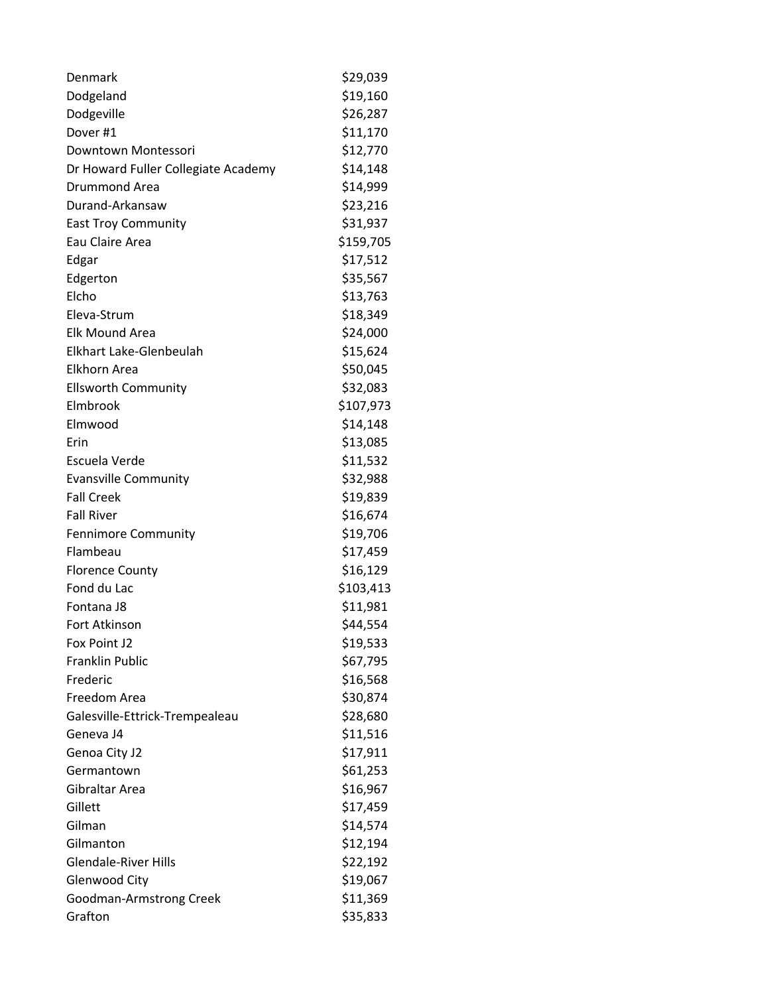| Denmark                             | \$29,039  |
|-------------------------------------|-----------|
| Dodgeland                           | \$19,160  |
| Dodgeville                          | \$26,287  |
| Dover #1                            | \$11,170  |
| Downtown Montessori                 | \$12,770  |
| Dr Howard Fuller Collegiate Academy | \$14,148  |
| Drummond Area                       | \$14,999  |
| Durand-Arkansaw                     | \$23,216  |
| <b>East Troy Community</b>          | \$31,937  |
| Eau Claire Area                     | \$159,705 |
| Edgar                               | \$17,512  |
| Edgerton                            | \$35,567  |
| Elcho                               | \$13,763  |
| Eleva-Strum                         | \$18,349  |
| Elk Mound Area                      | \$24,000  |
| Elkhart Lake-Glenbeulah             | \$15,624  |
| Elkhorn Area                        | \$50,045  |
| <b>Ellsworth Community</b>          | \$32,083  |
| Elmbrook                            | \$107,973 |
| Elmwood                             | \$14,148  |
| Erin                                | \$13,085  |
| Escuela Verde                       | \$11,532  |
| <b>Evansville Community</b>         | \$32,988  |
| <b>Fall Creek</b>                   | \$19,839  |
| <b>Fall River</b>                   | \$16,674  |
| <b>Fennimore Community</b>          | \$19,706  |
| Flambeau                            | \$17,459  |
| <b>Florence County</b>              | \$16,129  |
| Fond du Lac                         | \$103,413 |
| Fontana J8                          | \$11,981  |
| <b>Fort Atkinson</b>                | \$44,554  |
| Fox Point J2                        | \$19,533  |
| <b>Franklin Public</b>              | \$67,795  |
| Frederic                            | \$16,568  |
| Freedom Area                        | \$30,874  |
| Galesville-Ettrick-Trempealeau      | \$28,680  |
| Geneva J4                           | \$11,516  |
| Genoa City J2                       | \$17,911  |
| Germantown                          | \$61,253  |
| Gibraltar Area                      | \$16,967  |
| Gillett                             | \$17,459  |
| Gilman                              | \$14,574  |
| Gilmanton                           | \$12,194  |
| <b>Glendale-River Hills</b>         | \$22,192  |
| <b>Glenwood City</b>                | \$19,067  |
| Goodman-Armstrong Creek             | \$11,369  |
| Grafton                             | \$35,833  |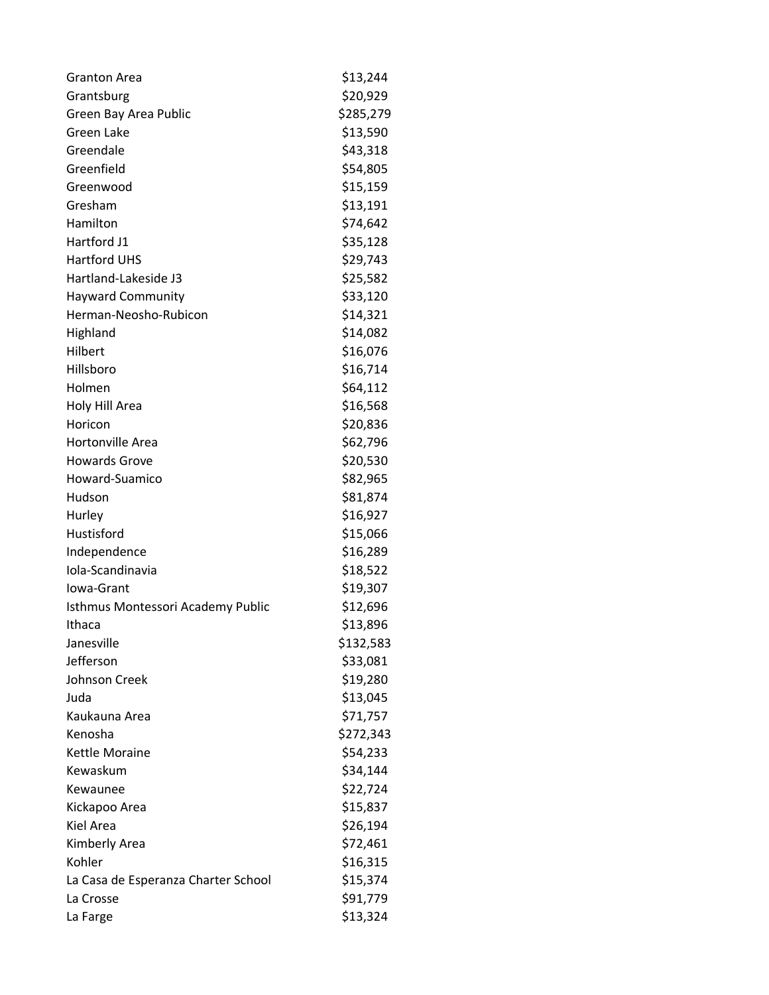| <b>Granton Area</b>                 | \$13,244  |
|-------------------------------------|-----------|
| Grantsburg                          | \$20,929  |
| Green Bay Area Public               | \$285,279 |
| Green Lake                          | \$13,590  |
| Greendale                           | \$43,318  |
| Greenfield                          | \$54,805  |
| Greenwood                           | \$15,159  |
| Gresham                             | \$13,191  |
| Hamilton                            | \$74,642  |
| Hartford J1                         | \$35,128  |
| <b>Hartford UHS</b>                 | \$29,743  |
| Hartland-Lakeside J3                | \$25,582  |
| <b>Hayward Community</b>            | \$33,120  |
| Herman-Neosho-Rubicon               | \$14,321  |
| Highland                            | \$14,082  |
| Hilbert                             | \$16,076  |
| Hillsboro                           | \$16,714  |
| Holmen                              | \$64,112  |
| Holy Hill Area                      | \$16,568  |
| Horicon                             | \$20,836  |
| Hortonville Area                    | \$62,796  |
| <b>Howards Grove</b>                | \$20,530  |
| Howard-Suamico                      | \$82,965  |
| Hudson                              | \$81,874  |
| Hurley                              | \$16,927  |
| Hustisford                          | \$15,066  |
| Independence                        | \$16,289  |
| Iola-Scandinavia                    | \$18,522  |
| Iowa-Grant                          | \$19,307  |
| Isthmus Montessori Academy Public   | \$12,696  |
| Ithaca                              | \$13,896  |
| Janesville                          | \$132,583 |
| Jefferson                           | \$33,081  |
| <b>Johnson Creek</b>                | \$19,280  |
| Juda                                | \$13,045  |
| Kaukauna Area                       | \$71,757  |
| Kenosha                             | \$272,343 |
| Kettle Moraine                      | \$54,233  |
| Kewaskum                            | \$34,144  |
| Kewaunee                            | \$22,724  |
| Kickapoo Area                       | \$15,837  |
| Kiel Area                           | \$26,194  |
| Kimberly Area                       | \$72,461  |
| Kohler                              | \$16,315  |
| La Casa de Esperanza Charter School | \$15,374  |
| La Crosse                           | \$91,779  |
| La Farge                            | \$13,324  |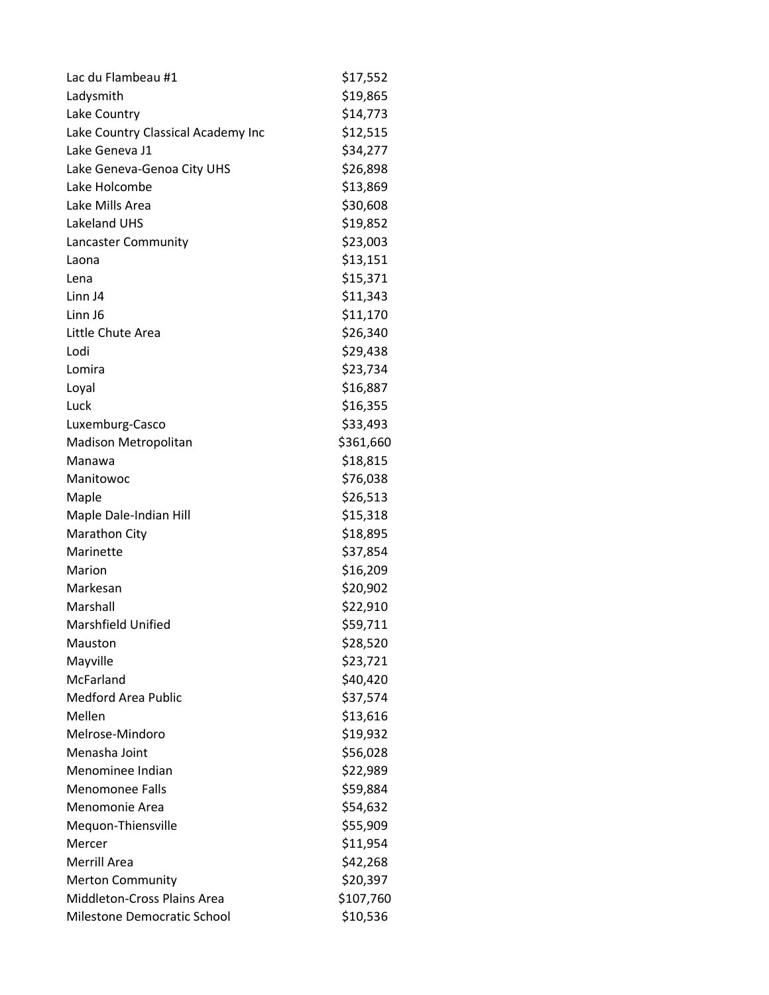| Lac du Flambeau #1                 | \$17,552  |
|------------------------------------|-----------|
| Ladysmith                          | \$19,865  |
| Lake Country                       | \$14,773  |
| Lake Country Classical Academy Inc | \$12,515  |
| Lake Geneva J1                     | \$34,277  |
| Lake Geneva-Genoa City UHS         | \$26,898  |
| Lake Holcombe                      | \$13,869  |
| Lake Mills Area                    | \$30,608  |
| Lakeland UHS                       | \$19,852  |
| Lancaster Community                | \$23,003  |
| Laona                              | \$13,151  |
| Lena                               | \$15,371  |
| Linn J4                            | \$11,343  |
| Linn J6                            | \$11,170  |
| Little Chute Area                  | \$26,340  |
| Lodi                               | \$29,438  |
| Lomira                             | \$23,734  |
| Loyal                              | \$16,887  |
| Luck                               | \$16,355  |
| Luxemburg-Casco                    | \$33,493  |
| Madison Metropolitan               | \$361,660 |
| Manawa                             | \$18,815  |
| Manitowoc                          | \$76,038  |
| Maple                              | \$26,513  |
| Maple Dale-Indian Hill             | \$15,318  |
| <b>Marathon City</b>               | \$18,895  |
| Marinette                          | \$37,854  |
| Marion                             | \$16,209  |
| Markesan                           | \$20,902  |
| Marshall                           | \$22,910  |
| <b>Marshfield Unified</b>          | \$59,711  |
| Mauston                            | \$28,520  |
| Mayville                           | \$23,721  |
| McFarland                          | \$40,420  |
| <b>Medford Area Public</b>         | \$37,574  |
| Mellen                             | \$13,616  |
| Melrose-Mindoro                    | \$19,932  |
| Menasha Joint                      | \$56,028  |
| Menominee Indian                   | \$22,989  |
| <b>Menomonee Falls</b>             | \$59,884  |
| Menomonie Area                     | \$54,632  |
| Mequon-Thiensville                 | \$55,909  |
| Mercer                             | \$11,954  |
| Merrill Area                       | \$42,268  |
| <b>Merton Community</b>            | \$20,397  |
| Middleton-Cross Plains Area        | \$107,760 |
| Milestone Democratic School        | \$10,536  |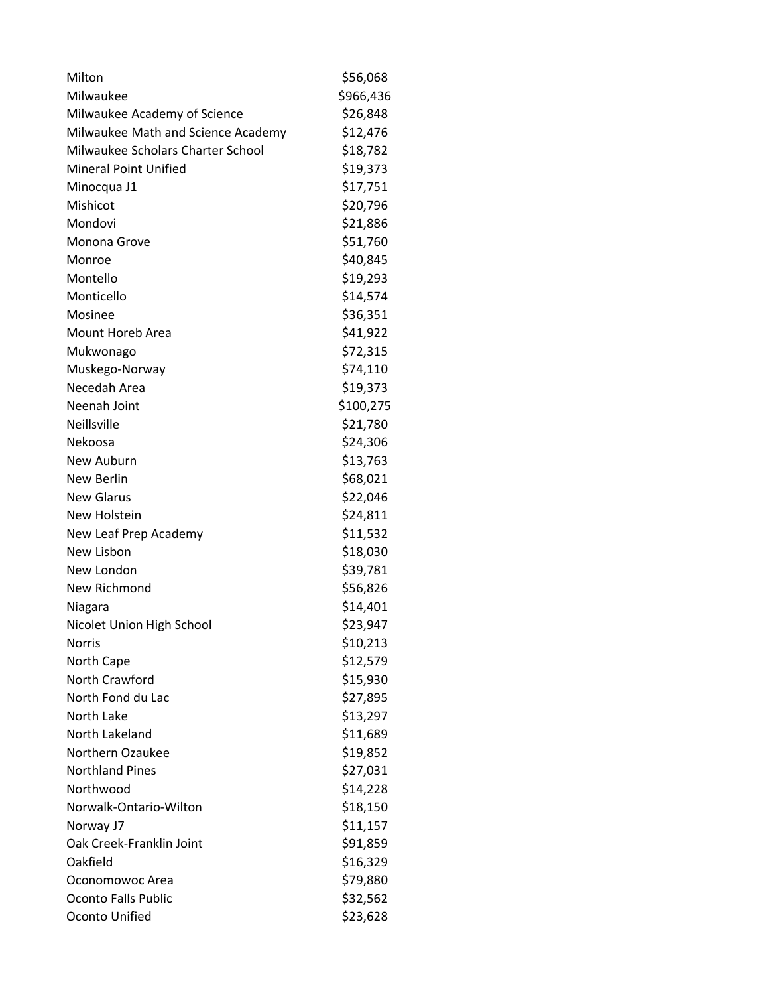| Milton                             | \$56,068  |
|------------------------------------|-----------|
| Milwaukee                          | \$966,436 |
| Milwaukee Academy of Science       | \$26,848  |
| Milwaukee Math and Science Academy | \$12,476  |
| Milwaukee Scholars Charter School  | \$18,782  |
| <b>Mineral Point Unified</b>       | \$19,373  |
| Minocqua J1                        | \$17,751  |
| Mishicot                           | \$20,796  |
| Mondovi                            | \$21,886  |
| Monona Grove                       | \$51,760  |
| Monroe                             | \$40,845  |
| Montello                           | \$19,293  |
| Monticello                         | \$14,574  |
| Mosinee                            | \$36,351  |
| <b>Mount Horeb Area</b>            | \$41,922  |
| Mukwonago                          | \$72,315  |
| Muskego-Norway                     | \$74,110  |
| Necedah Area                       | \$19,373  |
| Neenah Joint                       | \$100,275 |
| Neillsville                        | \$21,780  |
| Nekoosa                            | \$24,306  |
| New Auburn                         | \$13,763  |
| New Berlin                         | \$68,021  |
| <b>New Glarus</b>                  | \$22,046  |
| New Holstein                       | \$24,811  |
| New Leaf Prep Academy              | \$11,532  |
| New Lisbon                         | \$18,030  |
| New London                         | \$39,781  |
| New Richmond                       | \$56,826  |
| Niagara                            | \$14,401  |
| Nicolet Union High School          | \$23,947  |
| Norris                             | \$10,213  |
| North Cape                         | \$12,579  |
| North Crawford                     | \$15,930  |
| North Fond du Lac                  | \$27,895  |
| North Lake                         | \$13,297  |
| North Lakeland                     | \$11,689  |
| Northern Ozaukee                   | \$19,852  |
| <b>Northland Pines</b>             | \$27,031  |
| Northwood                          | \$14,228  |
| Norwalk-Ontario-Wilton             | \$18,150  |
| Norway J7                          | \$11,157  |
| Oak Creek-Franklin Joint           | \$91,859  |
| Oakfield                           | \$16,329  |
| Oconomowoc Area                    | \$79,880  |
| <b>Oconto Falls Public</b>         | \$32,562  |
| Oconto Unified                     | \$23,628  |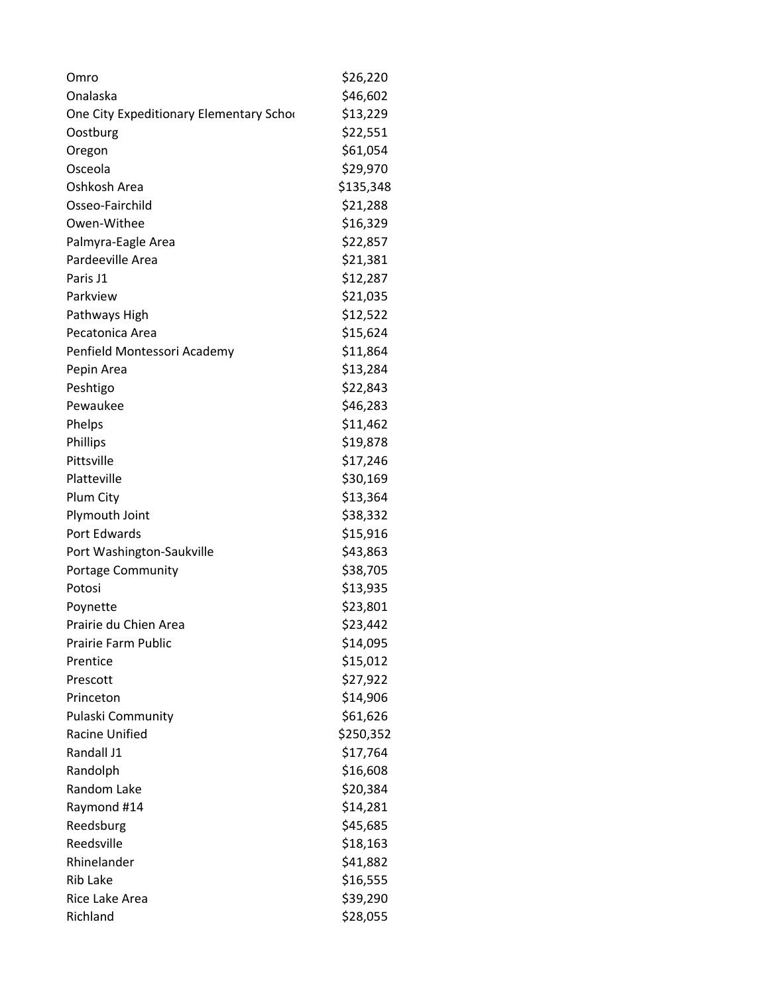| Omro                                    | \$26,220  |
|-----------------------------------------|-----------|
| Onalaska                                | \$46,602  |
| One City Expeditionary Elementary Schor | \$13,229  |
| Oostburg                                | \$22,551  |
| Oregon                                  | \$61,054  |
| Osceola                                 | \$29,970  |
| Oshkosh Area                            | \$135,348 |
| Osseo-Fairchild                         | \$21,288  |
| Owen-Withee                             | \$16,329  |
| Palmyra-Eagle Area                      | \$22,857  |
| Pardeeville Area                        | \$21,381  |
| Paris J1                                | \$12,287  |
| Parkview                                | \$21,035  |
| Pathways High                           | \$12,522  |
| Pecatonica Area                         | \$15,624  |
| Penfield Montessori Academy             | \$11,864  |
| Pepin Area                              | \$13,284  |
| Peshtigo                                | \$22,843  |
| Pewaukee                                | \$46,283  |
| Phelps                                  | \$11,462  |
| Phillips                                | \$19,878  |
| Pittsville                              | \$17,246  |
| Platteville                             | \$30,169  |
| Plum City                               | \$13,364  |
| Plymouth Joint                          | \$38,332  |
| Port Edwards                            | \$15,916  |
| Port Washington-Saukville               | \$43,863  |
| <b>Portage Community</b>                | \$38,705  |
| Potosi                                  | \$13,935  |
| Poynette                                | \$23,801  |
| Prairie du Chien Area                   | \$23,442  |
| <b>Prairie Farm Public</b>              | \$14,095  |
| Prentice                                | \$15,012  |
| Prescott                                | \$27,922  |
| Princeton                               | \$14,906  |
| Pulaski Community                       | \$61,626  |
| <b>Racine Unified</b>                   | \$250,352 |
| Randall J1                              | \$17,764  |
| Randolph                                | \$16,608  |
| Random Lake                             | \$20,384  |
| Raymond #14                             | \$14,281  |
| Reedsburg                               | \$45,685  |
| Reedsville                              | \$18,163  |
| Rhinelander                             | \$41,882  |
| <b>Rib Lake</b>                         | \$16,555  |
| Rice Lake Area                          | \$39,290  |
| Richland                                | \$28,055  |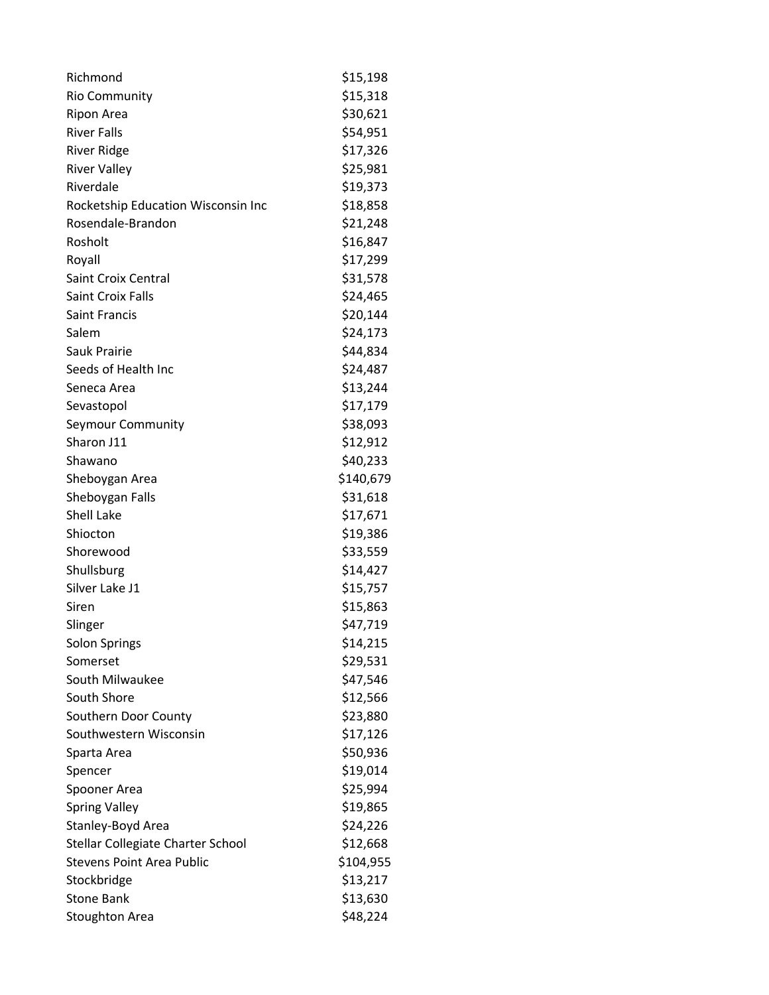| Richmond                           | \$15,198  |
|------------------------------------|-----------|
| <b>Rio Community</b>               | \$15,318  |
| Ripon Area                         | \$30,621  |
| <b>River Falls</b>                 | \$54,951  |
| <b>River Ridge</b>                 | \$17,326  |
| <b>River Valley</b>                | \$25,981  |
| Riverdale                          | \$19,373  |
| Rocketship Education Wisconsin Inc | \$18,858  |
| Rosendale-Brandon                  | \$21,248  |
| Rosholt                            | \$16,847  |
| Royall                             | \$17,299  |
| <b>Saint Croix Central</b>         | \$31,578  |
| Saint Croix Falls                  | \$24,465  |
| <b>Saint Francis</b>               | \$20,144  |
| Salem                              | \$24,173  |
| <b>Sauk Prairie</b>                | \$44,834  |
| Seeds of Health Inc                | \$24,487  |
| Seneca Area                        | \$13,244  |
| Sevastopol                         | \$17,179  |
| Seymour Community                  | \$38,093  |
| Sharon J11                         | \$12,912  |
| Shawano                            | \$40,233  |
| Sheboygan Area                     | \$140,679 |
| Sheboygan Falls                    | \$31,618  |
| <b>Shell Lake</b>                  | \$17,671  |
| Shiocton                           | \$19,386  |
| Shorewood                          | \$33,559  |
| Shullsburg                         | \$14,427  |
| Silver Lake J1                     | \$15,757  |
| Siren                              | \$15,863  |
| Slinger                            | \$47,719  |
| Solon Springs                      | \$14,215  |
| Somerset                           | \$29,531  |
| South Milwaukee                    | \$47,546  |
| South Shore                        | \$12,566  |
| Southern Door County               | \$23,880  |
| Southwestern Wisconsin             | \$17,126  |
| Sparta Area                        | \$50,936  |
| Spencer                            | \$19,014  |
| Spooner Area                       | \$25,994  |
| <b>Spring Valley</b>               | \$19,865  |
| Stanley-Boyd Area                  | \$24,226  |
| Stellar Collegiate Charter School  | \$12,668  |
| <b>Stevens Point Area Public</b>   | \$104,955 |
| Stockbridge                        | \$13,217  |
| <b>Stone Bank</b>                  | \$13,630  |
| <b>Stoughton Area</b>              | \$48,224  |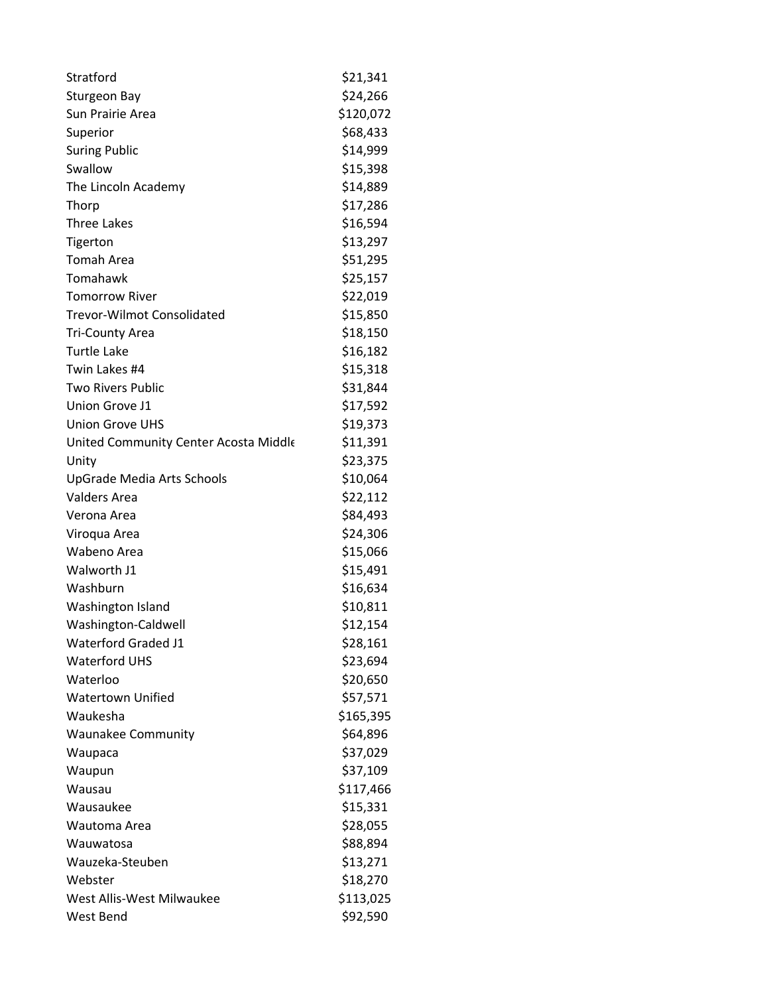| Stratford                             | \$21,341  |
|---------------------------------------|-----------|
| Sturgeon Bay                          | \$24,266  |
| Sun Prairie Area                      | \$120,072 |
| Superior                              | \$68,433  |
| <b>Suring Public</b>                  | \$14,999  |
| Swallow                               | \$15,398  |
| The Lincoln Academy                   | \$14,889  |
| Thorp                                 | \$17,286  |
| <b>Three Lakes</b>                    | \$16,594  |
| Tigerton                              | \$13,297  |
| <b>Tomah Area</b>                     | \$51,295  |
| Tomahawk                              | \$25,157  |
| <b>Tomorrow River</b>                 | \$22,019  |
| <b>Trevor-Wilmot Consolidated</b>     | \$15,850  |
| <b>Tri-County Area</b>                | \$18,150  |
| <b>Turtle Lake</b>                    | \$16,182  |
| Twin Lakes #4                         | \$15,318  |
| <b>Two Rivers Public</b>              | \$31,844  |
| Union Grove J1                        | \$17,592  |
| <b>Union Grove UHS</b>                | \$19,373  |
| United Community Center Acosta Middle | \$11,391  |
| Unity                                 | \$23,375  |
| UpGrade Media Arts Schools            | \$10,064  |
| <b>Valders Area</b>                   | \$22,112  |
| Verona Area                           | \$84,493  |
| Viroqua Area                          | \$24,306  |
| Wabeno Area                           | \$15,066  |
| Walworth J1                           | \$15,491  |
| Washburn                              | \$16,634  |
| Washington Island                     | \$10,811  |
| Washington-Caldwell                   | \$12,154  |
| <b>Waterford Graded J1</b>            | \$28,161  |
| <b>Waterford UHS</b>                  | \$23,694  |
| Waterloo                              | \$20,650  |
| <b>Watertown Unified</b>              | \$57,571  |
| Waukesha                              | \$165,395 |
| <b>Waunakee Community</b>             | \$64,896  |
| Waupaca                               | \$37,029  |
| Waupun                                | \$37,109  |
| Wausau                                | \$117,466 |
| Wausaukee                             | \$15,331  |
| Wautoma Area                          | \$28,055  |
| Wauwatosa                             | \$88,894  |
| Wauzeka-Steuben                       | \$13,271  |
| Webster                               | \$18,270  |
| West Allis-West Milwaukee             | \$113,025 |
| <b>West Bend</b>                      | \$92,590  |